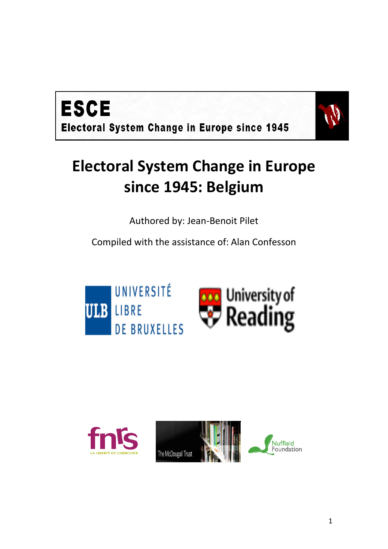



## **Electoral System Change in Europe since 1945: Belgium**

Authored by: Jean-Benoit Pilet

Compiled with the assistance of: Alan Confesson



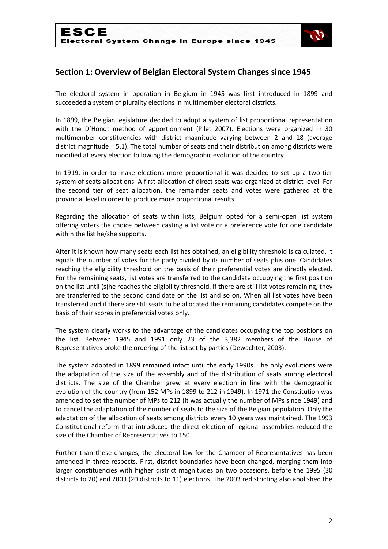

## **Section 1: Overview of Belgian Electoral System Changes since 1945**

The electoral system in operation in Belgium in 1945 was first introduced in 1899 and succeeded a system of plurality elections in multimember electoral districts.

In 1899, the Belgian legislature decided to adopt a system of list proportional representation with the D'Hondt method of apportionment (Pilet 2007). Elections were organized in 30 multimember constituencies with district magnitude varying between 2 and 18 (average district magnitude = 5.1). The total number of seats and their distribution among districts were modified at every election following the demographic evolution of the country.

In 1919, in order to make elections more proportional it was decided to set up a two-tier system of seats allocations. A first allocation of direct seats was organized at district level. For the second tier of seat allocation, the remainder seats and votes were gathered at the provincial level in order to produce more proportional results.

Regarding the allocation of seats within lists, Belgium opted for a semi-open list system offering voters the choice between casting a list vote or a preference vote for one candidate within the list he/she supports.

After it is known how many seats each list has obtained, an eligibility threshold is calculated. It equals the number of votes for the party divided by its number of seats plus one. Candidates reaching the eligibility threshold on the basis of their preferential votes are directly elected. For the remaining seats, list votes are transferred to the candidate occupying the first position on the list until (s)he reaches the eligibility threshold. If there are still list votes remaining, they are transferred to the second candidate on the list and so on. When all list votes have been transferred and if there are still seats to be allocated the remaining candidates compete on the basis of their scores in preferential votes only.

The system clearly works to the advantage of the candidates occupying the top positions on the list. Between 1945 and 1991 only 23 of the 3,382 members of the House of Representatives broke the ordering of the list set by parties (Dewachter, 2003).

The system adopted in 1899 remained intact until the early 1990s. The only evolutions were the adaptation of the size of the assembly and of the distribution of seats among electoral districts. The size of the Chamber grew at every election in line with the demographic evolution of the country (from 152 MPs in 1899 to 212 in 1949). In 1971 the Constitution was amended to set the number of MPs to 212 (it was actually the number of MPs since 1949) and to cancel the adaptation of the number of seats to the size of the Belgian population. Only the adaptation of the allocation of seats among districts every 10 years was maintained. The 1993 Constitutional reform that introduced the direct election of regional assemblies reduced the size of the Chamber of Representatives to 150.

Further than these changes, the electoral law for the Chamber of Representatives has been amended in three respects. First, district boundaries have been changed, merging them into larger constituencies with higher district magnitudes on two occasions, before the 1995 (30 districts to 20) and 2003 (20 districts to 11) elections. The 2003 redistricting also abolished the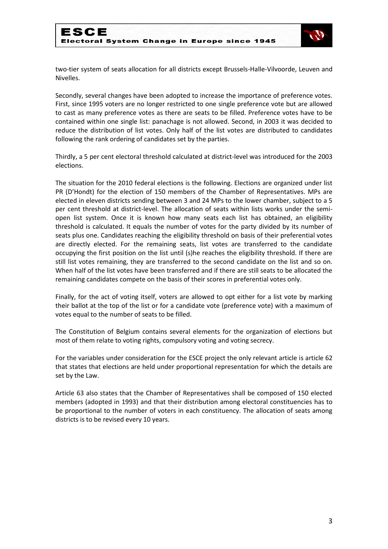

two-tier system of seats allocation for all districts except Brussels-Halle-Vilvoorde, Leuven and Nivelles.

Secondly, several changes have been adopted to increase the importance of preference votes. First, since 1995 voters are no longer restricted to one single preference vote but are allowed to cast as many preference votes as there are seats to be filled. Preference votes have to be contained within one single list: panachage is not allowed. Second, in 2003 it was decided to reduce the distribution of list votes. Only half of the list votes are distributed to candidates following the rank ordering of candidates set by the parties.

Thirdly, a 5 per cent electoral threshold calculated at district-level was introduced for the 2003 elections.

The situation for the 2010 federal elections is the following. Elections are organized under list PR (D'Hondt) for the election of 150 members of the Chamber of Representatives. MPs are elected in eleven districts sending between 3 and 24 MPs to the lower chamber, subject to a 5 per cent threshold at district-level. The allocation of seats within lists works under the semiopen list system. Once it is known how many seats each list has obtained, an eligibility threshold is calculated. It equals the number of votes for the party divided by its number of seats plus one. Candidates reaching the eligibility threshold on basis of their preferential votes are directly elected. For the remaining seats, list votes are transferred to the candidate occupying the first position on the list until (s)he reaches the eligibility threshold. If there are still list votes remaining, they are transferred to the second candidate on the list and so on. When half of the list votes have been transferred and if there are still seats to be allocated the remaining candidates compete on the basis of their scores in preferential votes only.

Finally, for the act of voting itself, voters are allowed to opt either for a list vote by marking their ballot at the top of the list or for a candidate vote (preference vote) with a maximum of votes equal to the number of seats to be filled.

The Constitution of Belgium contains several elements for the organization of elections but most of them relate to voting rights, compulsory voting and voting secrecy.

For the variables under consideration for the ESCE project the only relevant article is article 62 that states that elections are held under proportional representation for which the details are set by the Law.

Article 63 also states that the Chamber of Representatives shall be composed of 150 elected members (adopted in 1993) and that their distribution among electoral constituencies has to be proportional to the number of voters in each constituency. The allocation of seats among districts is to be revised every 10 years.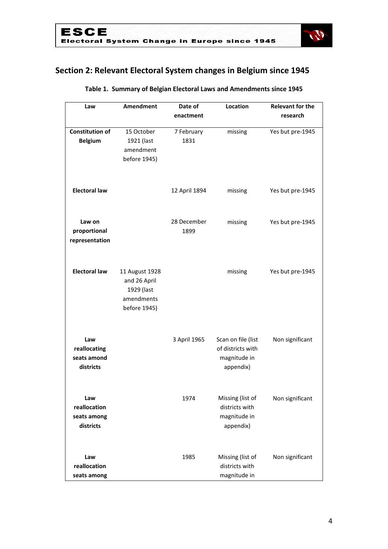

## **Section 2: Relevant Electoral System changes in Belgium since 1945**

| Law                    | Amendment               | Date of       | Location           | <b>Relevant for the</b> |
|------------------------|-------------------------|---------------|--------------------|-------------------------|
|                        |                         | enactment     |                    | research                |
| <b>Constitution of</b> |                         |               |                    |                         |
|                        | 15 October              | 7 February    | missing            | Yes but pre-1945        |
| <b>Belgium</b>         | 1921 (last<br>amendment | 1831          |                    |                         |
|                        |                         |               |                    |                         |
|                        | before 1945)            |               |                    |                         |
|                        |                         |               |                    |                         |
| <b>Electoral law</b>   |                         | 12 April 1894 | missing            | Yes but pre-1945        |
|                        |                         |               |                    |                         |
|                        |                         |               |                    |                         |
| Law on                 |                         | 28 December   | missing            | Yes but pre-1945        |
| proportional           |                         | 1899          |                    |                         |
| representation         |                         |               |                    |                         |
|                        |                         |               |                    |                         |
|                        |                         |               |                    |                         |
| <b>Electoral law</b>   | 11 August 1928          |               | missing            | Yes but pre-1945        |
|                        | and 26 April            |               |                    |                         |
|                        | 1929 (last              |               |                    |                         |
|                        | amendments              |               |                    |                         |
|                        | before 1945)            |               |                    |                         |
|                        |                         |               |                    |                         |
|                        |                         |               |                    |                         |
| Law                    |                         | 3 April 1965  | Scan on file (list | Non significant         |
| reallocating           |                         |               | of districts with  |                         |
| seats amond            |                         |               | magnitude in       |                         |
| districts              |                         |               | appendix)          |                         |
|                        |                         |               |                    |                         |
|                        |                         |               |                    |                         |
| Law                    |                         | 1974          | Missing (list of   | Non significant         |
| reallocation           |                         |               | districts with     |                         |
| seats among            |                         |               | magnitude in       |                         |
| districts              |                         |               | appendix)          |                         |
|                        |                         |               |                    |                         |
|                        |                         |               |                    |                         |
| Law                    |                         | 1985          | Missing (list of   | Non significant         |
| reallocation           |                         |               | districts with     |                         |
| seats among            |                         |               | magnitude in       |                         |

#### **Table 1. Summary of Belgian Electoral Laws and Amendments since 1945**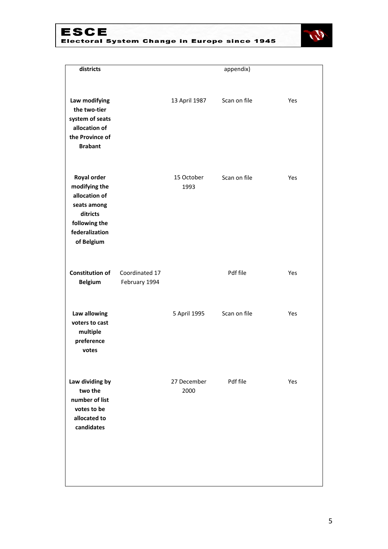# ESCE<br>Electoral System Change in Europe since 1945



|                                 |                     | appendix)    |     |
|---------------------------------|---------------------|--------------|-----|
|                                 | 13 April 1987       | Scan on file | Yes |
|                                 | 15 October<br>1993  | Scan on file | Yes |
| Coordinated 17<br>February 1994 |                     | Pdf file     | Yes |
|                                 | 5 April 1995        | Scan on file | Yes |
|                                 | 27 December<br>2000 | Pdf file     | Yes |
|                                 |                     |              |     |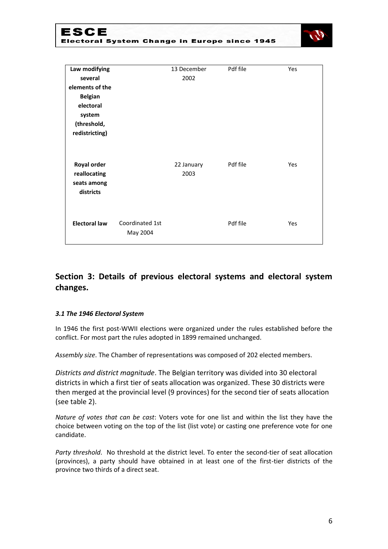### ESCE Electoral System Change in Europe since 1945



| Law modifying                                           |                             | 13 December        | Pdf file | Yes |
|---------------------------------------------------------|-----------------------------|--------------------|----------|-----|
| several                                                 |                             | 2002               |          |     |
| elements of the                                         |                             |                    |          |     |
| <b>Belgian</b>                                          |                             |                    |          |     |
| electoral                                               |                             |                    |          |     |
| system                                                  |                             |                    |          |     |
| (threshold,                                             |                             |                    |          |     |
| redistricting)                                          |                             |                    |          |     |
| Royal order<br>reallocating<br>seats among<br>districts |                             | 22 January<br>2003 | Pdf file | Yes |
| <b>Electoral law</b>                                    | Coordinated 1st<br>May 2004 |                    | Pdf file | Yes |

## **Section 3: Details of previous electoral systems and electoral system changes.**

#### *3.1 The 1946 Electoral System*

In 1946 the first post-WWII elections were organized under the rules established before the conflict. For most part the rules adopted in 1899 remained unchanged.

*Assembly size*. The Chamber of representations was composed of 202 elected members.

*Districts and district magnitude*. The Belgian territory was divided into 30 electoral districts in which a first tier of seats allocation was organized. These 30 districts were then merged at the provincial level (9 provinces) for the second tier of seats allocation (see table 2).

*Nature of votes that can be cast*: Voters vote for one list and within the list they have the choice between voting on the top of the list (list vote) or casting one preference vote for one candidate.

*Party threshold*. No threshold at the district level. To enter the second-tier of seat allocation (provinces), a party should have obtained in at least one of the first-tier districts of the province two thirds of a direct seat.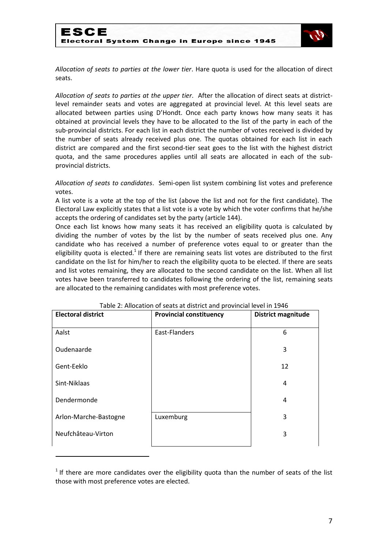

*Allocation of seats to parties at the lower tier*. Hare quota is used for the allocation of direct seats.

*Allocation of seats to parties at the upper tier*. After the allocation of direct seats at districtlevel remainder seats and votes are aggregated at provincial level. At this level seats are allocated between parties using D'Hondt. Once each party knows how many seats it has obtained at provincial levels they have to be allocated to the list of the party in each of the sub-provincial districts. For each list in each district the number of votes received is divided by the number of seats already received plus one. The quotas obtained for each list in each district are compared and the first second-tier seat goes to the list with the highest district quota, and the same procedures applies until all seats are allocated in each of the subprovincial districts.

*Allocation of seats to candidates*. Semi-open list system combining list votes and preference votes.

A list vote is a vote at the top of the list (above the list and not for the first candidate). The Electoral Law explicitly states that a list vote is a vote by which the voter confirms that he/she accepts the ordering of candidates set by the party (article 144).

Once each list knows how many seats it has received an eligibility quota is calculated by dividing the number of votes by the list by the number of seats received plus one. Any candidate who has received a number of preference votes equal to or greater than the eligibility quota is elected.<sup>1</sup> If there are remaining seats list votes are distributed to the first candidate on the list for him/her to reach the eligibility quota to be elected. If there are seats and list votes remaining, they are allocated to the second candidate on the list. When all list votes have been transferred to candidates following the ordering of the list, remaining seats are allocated to the remaining candidates with most preference votes.

| <b>Electoral district</b> | <b>Provincial constituency</b> | District magnitude |
|---------------------------|--------------------------------|--------------------|
| Aalst                     | East-Flanders                  | 6                  |
| Oudenaarde                |                                | 3                  |
| Gent-Eeklo                |                                | 12                 |
| Sint-Niklaas              |                                | 4                  |
| Dendermonde               |                                | 4                  |
| Arlon-Marche-Bastogne     | Luxemburg                      | 3                  |
| Neufchâteau-Virton        |                                | 3                  |
|                           |                                |                    |

#### Table 2: Allocation of seats at district and provincial level in 1946

**.** 

 $1$  If there are more candidates over the eligibility quota than the number of seats of the list those with most preference votes are elected.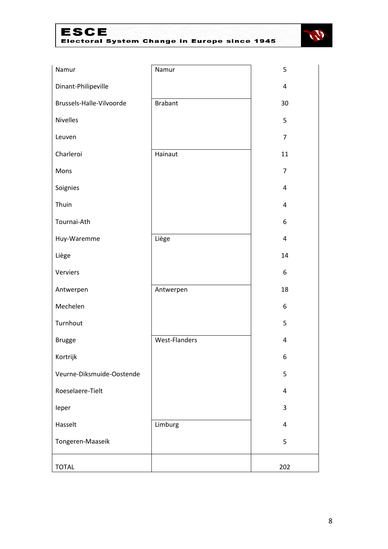## **ESCE** Electoral System Change in Europe since 1945



| Namur                     | Namur                | 5              |
|---------------------------|----------------------|----------------|
| Dinant-Philipeville       |                      | $\overline{4}$ |
| Brussels-Halle-Vilvoorde  | <b>Brabant</b>       | 30             |
| <b>Nivelles</b>           |                      | 5              |
| Leuven                    |                      | $\overline{7}$ |
| Charleroi                 | Hainaut              | 11             |
| Mons                      |                      | $\overline{7}$ |
| Soignies                  |                      | 4              |
| Thuin                     |                      | 4              |
| Tournai-Ath               |                      | 6              |
| Huy-Waremme               | Liège                | $\overline{4}$ |
| Liège                     |                      | 14             |
| Verviers                  |                      | 6              |
| Antwerpen                 | Antwerpen            | 18             |
| Mechelen                  |                      | 6              |
| Turnhout                  |                      | 5              |
| <b>Brugge</b>             | <b>West-Flanders</b> | $\overline{4}$ |
| Kortrijk                  |                      | 6              |
| Veurne-Diksmuide-Oostende |                      | 5              |
| Roeselaere-Tielt          |                      | 4              |
| leper                     |                      | 3              |
| Hasselt                   | Limburg              | 4              |
| Tongeren-Maaseik          |                      | 5              |
| <b>TOTAL</b>              |                      | 202            |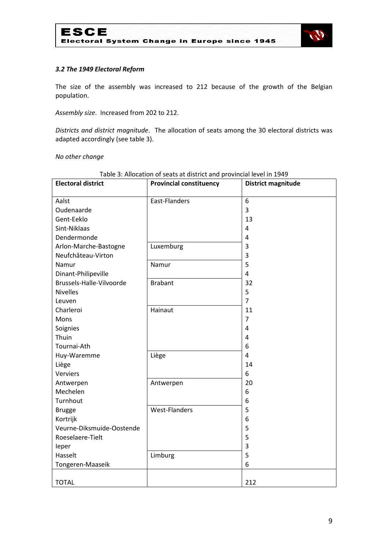

#### *3.2 The 1949 Electoral Reform*

The size of the assembly was increased to 212 because of the growth of the Belgian population.

*Assembly size*. Increased from 202 to 212.

*Districts and district magnitude*. The allocation of seats among the 30 electoral districts was adapted accordingly (see table 3).

*No other change*

| <b>Electoral district</b> | <b>Provincial constituency</b> | <b>District magnitude</b> |
|---------------------------|--------------------------------|---------------------------|
|                           |                                |                           |
| Aalst                     | East-Flanders                  | 6                         |
| Oudenaarde                |                                | 3                         |
| Gent-Eeklo                |                                | 13                        |
| Sint-Niklaas              |                                | 4                         |
| Dendermonde               |                                | 4                         |
| Arlon-Marche-Bastogne     | Luxemburg                      | 3                         |
| Neufchâteau-Virton        |                                | 3                         |
| Namur                     | Namur                          | 5                         |
| Dinant-Philipeville       |                                | 4                         |
| Brussels-Halle-Vilvoorde  | <b>Brabant</b>                 | 32                        |
| <b>Nivelles</b>           |                                | 5                         |
| Leuven                    |                                | $\overline{7}$            |
| Charleroi                 | Hainaut                        | 11                        |
| Mons                      |                                | $\overline{7}$            |
| Soignies                  |                                | $\overline{4}$            |
| Thuin                     |                                | 4                         |
| Tournai-Ath               |                                | 6                         |
| Huy-Waremme               | Liège                          | 4                         |
| Liège                     |                                | 14                        |
| <b>Verviers</b>           |                                | 6                         |
| Antwerpen                 | Antwerpen                      | 20                        |
| Mechelen                  |                                | 6                         |
| Turnhout                  |                                | 6                         |
| <b>Brugge</b>             | <b>West-Flanders</b>           | 5                         |
| Kortrijk                  |                                | 6                         |
| Veurne-Diksmuide-Oostende |                                | 5                         |
| Roeselaere-Tielt          |                                | 5                         |
| leper                     |                                | 3                         |
| Hasselt                   | Limburg                        | 5                         |
| Tongeren-Maaseik          |                                | 6                         |
|                           |                                |                           |
| <b>TOTAL</b>              |                                | 212                       |

#### Table 3: Allocation of seats at district and provincial level in 1949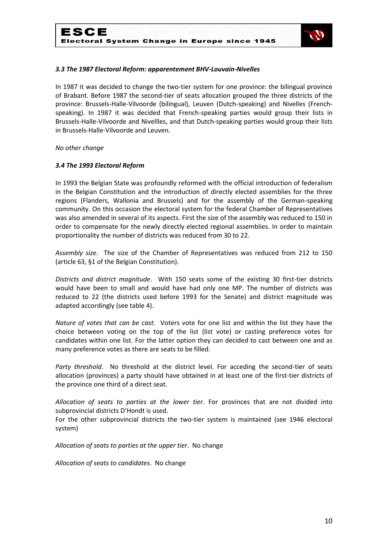

#### *3.3 The 1987 Electoral Reform: apparentement BHV-Louvain-Nivelles*

In 1987 it was decided to change the two-tier system for one province: the bilingual province of Brabant. Before 1987 the second-tier of seats allocation grouped the three districts of the province: Brussels-Halle-Vilvoorde (bilingual), Leuven (Dutch-speaking) and Nivelles (Frenchspeaking). In 1987 it was decided that French-speaking parties would group their lists in Brussels-Halle-Vilvoorde and Nivellles, and that Dutch-speaking parties would group their lists in Brussels-Halle-Vilvoorde and Leuven.

*No other change*

#### *3.4 The 1993 Electoral Reform*

In 1993 the Belgian State was profoundly reformed with the official introduction of federalism in the Belgian Constitution and the introduction of directly elected assemblies for the three regions (Flanders, Wallonia and Brussels) and for the assembly of the German-speaking community. On this occasion the electoral system for the federal Chamber of Representatives was also amended in several of its aspects. First the size of the assembly was reduced to 150 in order to compensate for the newly directly elected regional assemblies. In order to maintain proportionality the number of districts was reduced from 30 to 22.

*Assembly size*. The size of the Chamber of Representatives was reduced from 212 to 150 (article 63, §1 of the Belgian Constitution).

*Districts and district magnitude*. With 150 seats some of the existing 30 first-tier districts would have been to small and would have had only one MP. The number of districts was reduced to 22 (the districts used before 1993 for the Senate) and district magnitude was adapted accordingly (see table 4).

*Nature of votes that can be cast*. Voters vote for one list and within the list they have the choice between voting on the top of the list (list vote) or casting preference votes for candidates within one list. For the latter option they can decided to cast between one and as many preference votes as there are seats to be filled.

*Party threshold*. No threshold at the district level. For acceding the second-tier of seats allocation (provinces) a party should have obtained in at least one of the first-tier districts of the province one third of a direct seat.

*Allocation of seats to parties at the lower tier*. For provinces that are not divided into subprovincial districts D'Hondt is used.

For the other subprovincial districts the two-tier system is maintained (see 1946 electoral system)

*Allocation of seats to parties at the upper tier*. No change

*Allocation of seats to candidates*. No change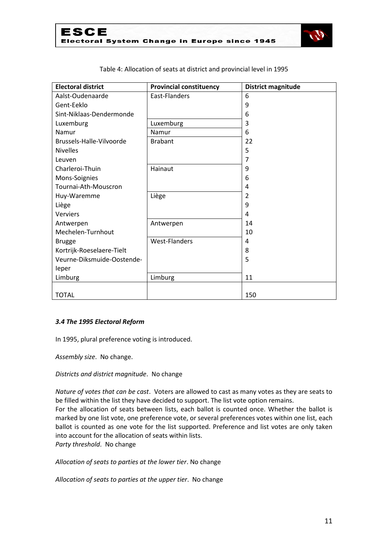

| <b>Electoral district</b>  | <b>Provincial constituency</b> | <b>District magnitude</b> |
|----------------------------|--------------------------------|---------------------------|
| Aalst-Oudenaarde           | East-Flanders                  | 6                         |
| Gent-Eeklo                 |                                | 9                         |
| Sint-Niklaas-Dendermonde   |                                | 6                         |
| Luxemburg                  | Luxemburg                      | 3                         |
| Namur                      | Namur                          | 6                         |
| Brussels-Halle-Vilvoorde   | <b>Brabant</b>                 | 22                        |
| <b>Nivelles</b>            |                                | 5                         |
| Leuven                     |                                | 7                         |
| Charleroi-Thuin            | Hainaut                        | 9                         |
| Mons-Soignies              |                                | 6                         |
| Tournai-Ath-Mouscron       |                                | 4                         |
| Huy-Waremme                | Liège                          | 2                         |
| Liège                      |                                | 9                         |
| <b>Verviers</b>            |                                | 4                         |
| Antwerpen                  | Antwerpen                      | 14                        |
| Mechelen-Turnhout          |                                | 10                        |
| <b>Brugge</b>              | <b>West-Flanders</b>           | 4                         |
| Kortrijk-Roeselaere-Tielt  |                                | 8                         |
| Veurne-Diksmuide-Oostende- |                                | 5                         |
| leper                      |                                |                           |
| Limburg                    | Limburg                        | 11                        |
|                            |                                |                           |
| <b>TOTAL</b>               |                                | 150                       |

Table 4: Allocation of seats at district and provincial level in 1995

#### *3.4 The 1995 Electoral Reform*

In 1995, plural preference voting is introduced.

*Assembly size*. No change.

*Districts and district magnitude*. No change

*Nature of votes that can be cast*. Voters are allowed to cast as many votes as they are seats to be filled within the list they have decided to support. The list vote option remains. For the allocation of seats between lists, each ballot is counted once. Whether the ballot is marked by one list vote, one preference vote, or several preferences votes within one list, each ballot is counted as one vote for the list supported. Preference and list votes are only taken into account for the allocation of seats within lists. *Party threshold*. No change

*Allocation of seats to parties at the lower tier*. No change

*Allocation of seats to parties at the upper tier*. No change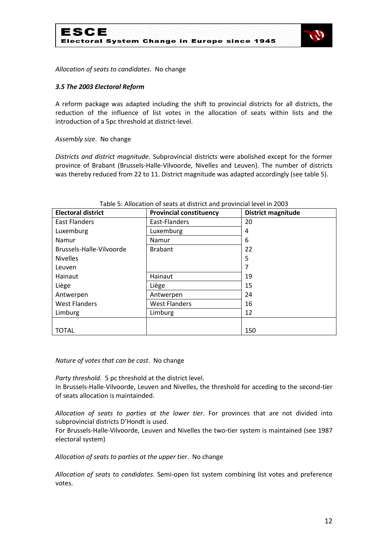



*Allocation of seats to candidates*. No change

#### *3.5 The 2003 Electoral Reform*

A reform package was adapted including the shift to provincial districts for all districts, the reduction of the influence of list votes in the allocation of seats within lists and the introduction of a 5pc threshold at district-level.

#### *Assembly size*. No change

*Districts and district magnitude*. Subprovincial districts were abolished except for the former province of Brabant (Brussels-Halle-Vilvoorde, Nivelles and Leuven). The number of districts was thereby reduced from 22 to 11. District magnitude was adapted accordingly (see table 5).

| <b>Electoral district</b> | <b>Provincial constituency</b> | <b>District magnitude</b> |
|---------------------------|--------------------------------|---------------------------|
| East Flanders             | East-Flanders                  | 20                        |
| Luxemburg                 | Luxemburg                      | 4                         |
| Namur                     | Namur                          | 6                         |
| Brussels-Halle-Vilvoorde  | <b>Brabant</b>                 | 22                        |
| <b>Nivelles</b>           |                                | 5                         |
| Leuven                    |                                |                           |
| Hainaut                   | Hainaut                        | 19                        |
| Liège                     | Liège                          | 15                        |
| Antwerpen                 | Antwerpen                      | 24                        |
| <b>West Flanders</b>      | <b>West Flanders</b>           | 16                        |
| Limburg                   | Limburg                        | 12                        |
|                           |                                |                           |
| <b>TOTAL</b>              |                                | 150                       |

#### Table 5: Allocation of seats at district and provincial level in 2003

*Nature of votes that can be cast*. No change

*Party threshold*. 5 pc threshold at the district level.

In Brussels-Halle-Vilvoorde, Leuven and Nivelles, the threshold for acceding to the second-tier of seats allocation is maintainded.

*Allocation of seats to parties at the lower tier*. For provinces that are not divided into subprovincial districts D'Hondt is used.

For Brussels-Halle-Vilvoorde, Leuven and Nivelles the two-tier system is maintained (see 1987 electoral system)

*Allocation of seats to parties at the upper tier*. No change

*Allocation of seats to candidates*. Semi-open list system combining list votes and preference votes.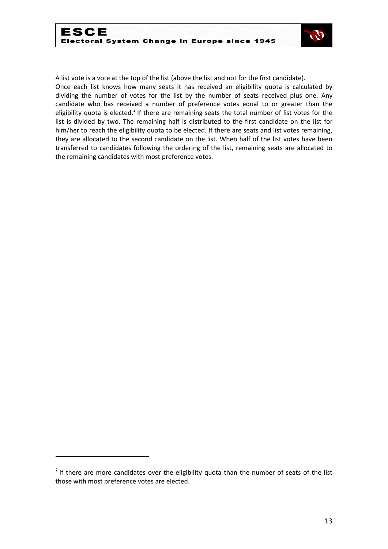

A list vote is a vote at the top of the list (above the list and not for the first candidate).

Once each list knows how many seats it has received an eligibility quota is calculated by dividing the number of votes for the list by the number of seats received plus one. Any candidate who has received a number of preference votes equal to or greater than the eligibility quota is elected.<sup>2</sup> If there are remaining seats the total number of list votes for the list is divided by two. The remaining half is distributed to the first candidate on the list for him/her to reach the eligibility quota to be elected. If there are seats and list votes remaining, they are allocated to the second candidate on the list. When half of the list votes have been transferred to candidates following the ordering of the list, remaining seats are allocated to the remaining candidates with most preference votes.

.

 $2$  If there are more candidates over the eligibility quota than the number of seats of the list those with most preference votes are elected.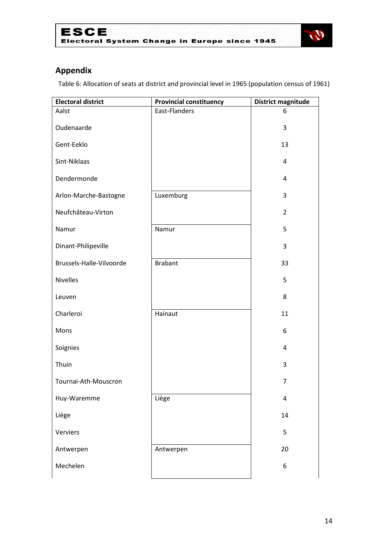



## **Appendix**

Table 6: Allocation of seats at district and provincial level in 1965 (population census of 1961)

| <b>Electoral district</b> | <b>Provincial constituency</b> | <b>District magnitude</b> |
|---------------------------|--------------------------------|---------------------------|
| Aalst                     | East-Flanders                  | 6                         |
| Oudenaarde                |                                | 3                         |
| Gent-Eeklo                |                                | 13                        |
| Sint-Niklaas              |                                | 4                         |
| Dendermonde               |                                | 4                         |
| Arlon-Marche-Bastogne     | Luxemburg                      | 3                         |
| Neufchâteau-Virton        |                                | $\overline{2}$            |
| Namur                     | Namur                          | 5                         |
| Dinant-Philipeville       |                                | 3                         |
| Brussels-Halle-Vilvoorde  | <b>Brabant</b>                 | 33                        |
| <b>Nivelles</b>           |                                | 5                         |
| Leuven                    |                                | 8                         |
| Charleroi                 | Hainaut                        | 11                        |
| Mons                      |                                | 6                         |
| Soignies                  |                                | 4                         |
| Thuin                     |                                | 3                         |
| Tournai-Ath-Mouscron      |                                | 7                         |
| Huy-Waremme               | Liège                          | 4                         |
| Liège                     |                                | 14                        |
| Verviers                  |                                | 5                         |
| Antwerpen                 | Antwerpen                      | 20                        |
| Mechelen                  |                                | 6                         |
|                           |                                |                           |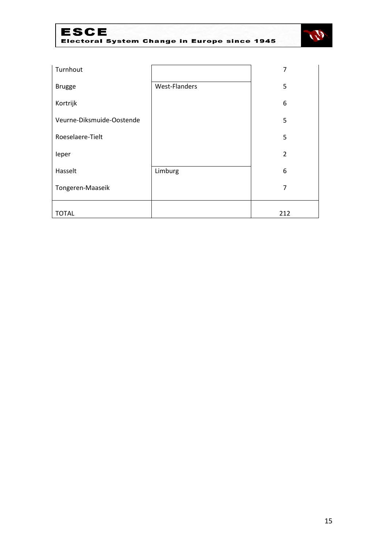## ESCE<br>Electoral System Change in Europe since 1945



| Turnhout                  |               | 7              |
|---------------------------|---------------|----------------|
| <b>Brugge</b>             | West-Flanders | 5              |
| Kortrijk                  |               | 6              |
| Veurne-Diksmuide-Oostende |               | 5              |
| Roeselaere-Tielt          |               | 5              |
| leper                     |               | $\overline{2}$ |
| Hasselt                   | Limburg       | 6              |
| Tongeren-Maaseik          |               | $\overline{7}$ |
| <b>TOTAL</b>              |               | 212            |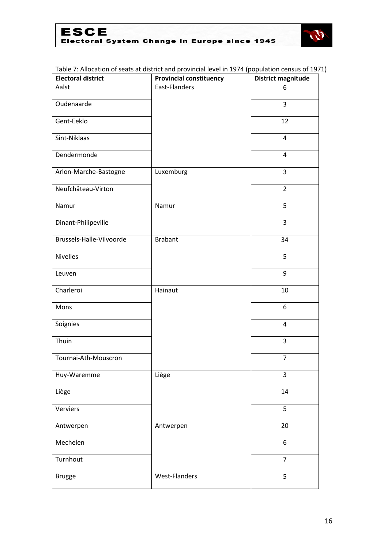

#### Table 7: Allocation of seats at district and provincial level in 1974 (population census of 1971)

| <b>Electoral district</b> | <b>Provincial constituency</b> | District magnitude |
|---------------------------|--------------------------------|--------------------|
| Aalst                     | East-Flanders                  | 6                  |
| Oudenaarde                |                                | 3                  |
| Gent-Eeklo                |                                | 12                 |
| Sint-Niklaas              |                                | 4                  |
| Dendermonde               |                                | $\overline{4}$     |
| Arlon-Marche-Bastogne     | Luxemburg                      | 3                  |
| Neufchâteau-Virton        |                                | $\overline{2}$     |
| Namur                     | Namur                          | 5                  |
| Dinant-Philipeville       |                                | 3                  |
| Brussels-Halle-Vilvoorde  | <b>Brabant</b>                 | 34                 |
| <b>Nivelles</b>           |                                | 5                  |
| Leuven                    |                                | 9                  |
| Charleroi                 | Hainaut                        | 10                 |
| Mons                      |                                | 6                  |
| Soignies                  |                                | $\overline{4}$     |
| Thuin                     |                                | $\overline{3}$     |
| Tournai-Ath-Mouscron      |                                | $\overline{7}$     |
| Huy-Waremme               | Liège                          | 3                  |
| Liège                     |                                | 14                 |
| Verviers                  |                                | 5                  |
| Antwerpen                 | Antwerpen                      | 20                 |
| Mechelen                  |                                | 6                  |
| Turnhout                  |                                | $\overline{7}$     |
| <b>Brugge</b>             | West-Flanders                  | 5                  |
|                           |                                |                    |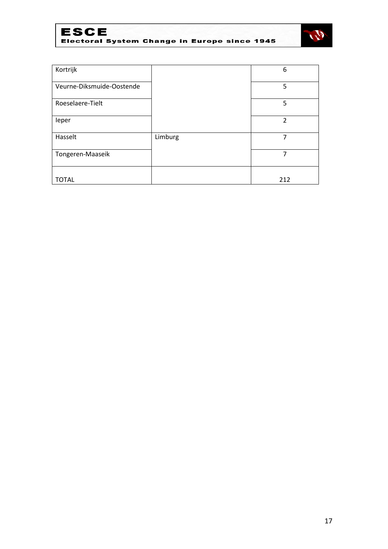



| Kortrijk                  |         | 6              |
|---------------------------|---------|----------------|
| Veurne-Diksmuide-Oostende |         | 5              |
| Roeselaere-Tielt          |         | 5              |
| leper                     |         | $\overline{2}$ |
| Hasselt                   | Limburg | 7              |
| Tongeren-Maaseik          |         | 7              |
| <b>TOTAL</b>              |         | 212            |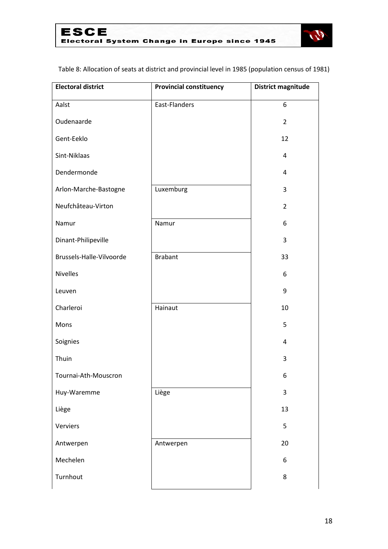

Table 8: Allocation of seats at district and provincial level in 1985 (population census of 1981)

| <b>Electoral district</b> | <b>Provincial constituency</b> | District magnitude |
|---------------------------|--------------------------------|--------------------|
| Aalst                     | East-Flanders                  | 6                  |
| Oudenaarde                |                                | $\overline{2}$     |
| Gent-Eeklo                |                                | 12                 |
| Sint-Niklaas              |                                | 4                  |
| Dendermonde               |                                | $\overline{4}$     |
| Arlon-Marche-Bastogne     | Luxemburg                      | 3                  |
| Neufchâteau-Virton        |                                | $\overline{2}$     |
| Namur                     | Namur                          | 6                  |
| Dinant-Philipeville       |                                | 3                  |
| Brussels-Halle-Vilvoorde  | <b>Brabant</b>                 | 33                 |
| <b>Nivelles</b>           |                                | 6                  |
| Leuven                    |                                | 9                  |
| Charleroi                 | Hainaut                        | 10                 |
| Mons                      |                                | 5                  |
| Soignies                  |                                | $\overline{4}$     |
| Thuin                     |                                | 3                  |
| Tournai-Ath-Mouscron      |                                | 6                  |
| Huy-Waremme               | Liège                          | $\overline{3}$     |
| Liège                     |                                | 13                 |
| Verviers                  |                                | 5                  |
| Antwerpen                 | Antwerpen                      | 20                 |
| Mechelen                  |                                | 6                  |
| Turnhout                  |                                | 8                  |
|                           |                                |                    |